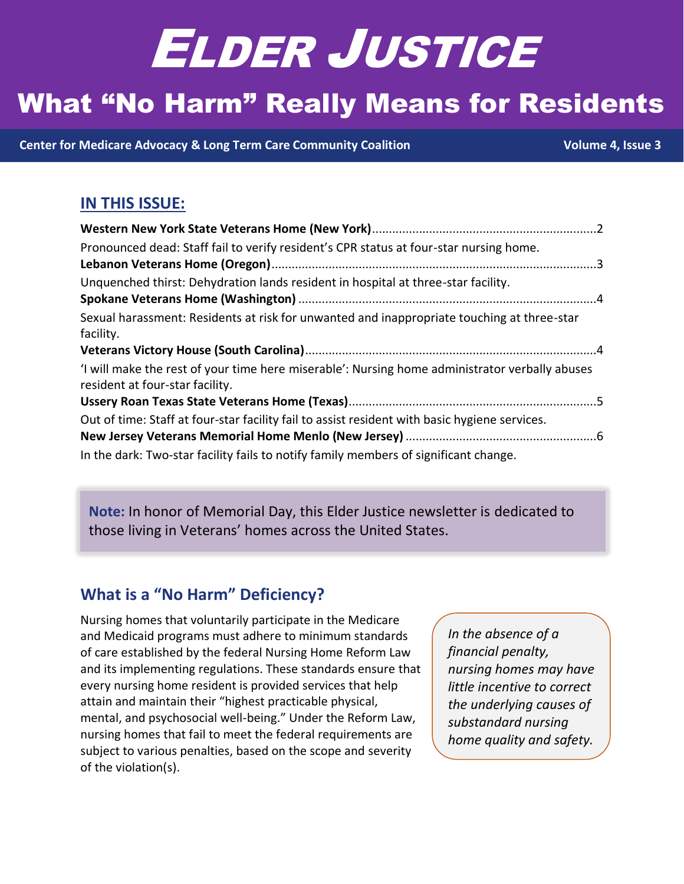# ELDER JUSTICE

# **What "No Harm" Really Means for Residents**

 **[Center for Medicare Advocacy](http://www.medicareadvocacy.org/) & [Long Term Care Community Coalition](http://www.nursinghome411.org/) Volume 4, Issue 3**

# **IN THIS ISSUE:**

| Pronounced dead: Staff fail to verify resident's CPR status at four-star nursing home.                                            |  |
|-----------------------------------------------------------------------------------------------------------------------------------|--|
|                                                                                                                                   |  |
| Unquenched thirst: Dehydration lands resident in hospital at three-star facility.                                                 |  |
|                                                                                                                                   |  |
| Sexual harassment: Residents at risk for unwanted and inappropriate touching at three-star                                        |  |
| facility.                                                                                                                         |  |
|                                                                                                                                   |  |
| 'I will make the rest of your time here miserable': Nursing home administrator verbally abuses<br>resident at four-star facility. |  |
|                                                                                                                                   |  |
| Out of time: Staff at four-star facility fail to assist resident with basic hygiene services.                                     |  |
|                                                                                                                                   |  |
| In the dark: Two-star facility fails to notify family members of significant change.                                              |  |

**Note:** In honor of Memorial Day, this Elder Justice newsletter is dedicated to those living in Veterans' homes across the United States.

# **What is a "No Harm" Deficiency?**

Nursing homes that voluntarily participate in the Medicare and Medicaid programs must adhere to minimum standards of care established by the federal Nursing Home Reform Law and its implementing regulations. These standards ensure that every nursing home resident is provided services that help attain and maintain their "highest practicable physical, mental, and psychosocial well-being." Under the Reform Law, nursing homes that fail to meet the federal requirements are subject to various penalties, based on the scope and severity of the violation(s).

*In the absence of a financial penalty, nursing homes may have little incentive to correct the underlying causes of substandard nursing home quality and safety.*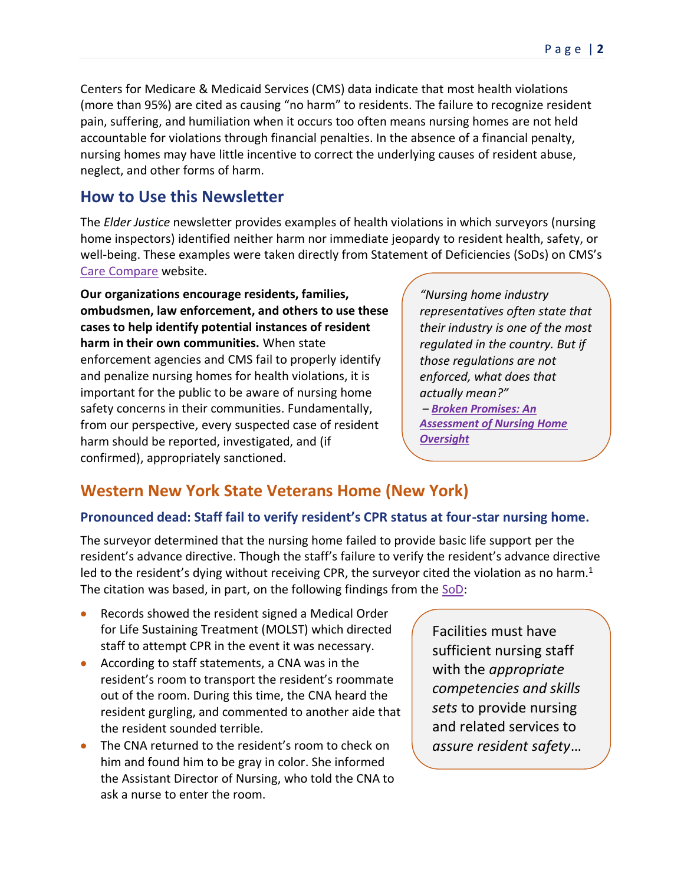Centers for Medicare & Medicaid Services (CMS) data indicate that most health violations (more than 95%) are cited as causing "no harm" to residents. The failure to recognize resident pain, suffering, and humiliation when it occurs too often means nursing homes are not held accountable for violations through financial penalties. In the absence of a financial penalty, nursing homes may have little incentive to correct the underlying causes of resident abuse, neglect, and other forms of harm.

### **How to Use this Newsletter**

The *Elder Justice* newsletter provides examples of health violations in which surveyors (nursing home inspectors) identified neither harm nor immediate jeopardy to resident health, safety, or well-being. These examples were taken directly from Statement of Deficiencies (SoDs) on CMS's Care [Compare](https://www.medicare.gov/care-compare/?providerType=NursingHome&redirect=true) website.

**Our organizations encourage residents, families, ombudsmen, law enforcement, and others to use these cases to help identify potential instances of resident harm in their own communities.** When state enforcement agencies and CMS fail to properly identify and penalize nursing homes for health violations, it is important for the public to be aware of nursing home safety concerns in their communities. Fundamentally, from our perspective, every suspected case of resident harm should be reported, investigated, and (if confirmed), appropriately sanctioned.

*"Nursing home industry representatives often state that their industry is one of the most regulated in the country. But if those regulations are not enforced, what does that actually mean?" – [Broken Promises: An](https://nursinghome411.org/news-reports/reports/survey-enforcement/survey-data-report/)  [Assessment of Nursing Home](https://nursinghome411.org/news-reports/reports/survey-enforcement/survey-data-report/)  [Oversight](https://nursinghome411.org/news-reports/reports/survey-enforcement/survey-data-report/)*

# <span id="page-1-0"></span>**Western New York State Veterans Home (New York)**

#### <span id="page-1-1"></span>**Pronounced dead: Staff fail to verify resident's CPR status at four-star nursing home.**

The surveyor determined that the nursing home failed to provide basic life support per the resident's advance directive. Though the staff's failure to verify the resident's advance directive led to the resident's dying without receiving CPR, the surveyor cited the violation as no harm.<sup>1</sup> The citation was based, in part, on the following findings from the [SoD:](https://nursinghome411.org/wp-content/uploads/2021/05/San-Juan-Living-Center.pdf)

- Records showed the resident signed a Medical Order for Life Sustaining Treatment (MOLST) which directed staff to attempt CPR in the event it was necessary.
- According to staff statements, a CNA was in the resident's room to transport the resident's roommate out of the room. During this time, the CNA heard the resident gurgling, and commented to another aide that the resident sounded terrible.
- The CNA returned to the resident's room to check on him and found him to be gray in color. She informed the Assistant Director of Nursing, who told the CNA to ask a nurse to enter the room.

Facilities must have sufficient nursing staff with the *appropriate competencies and skills sets* to provide nursing and related services to *assure resident safety*…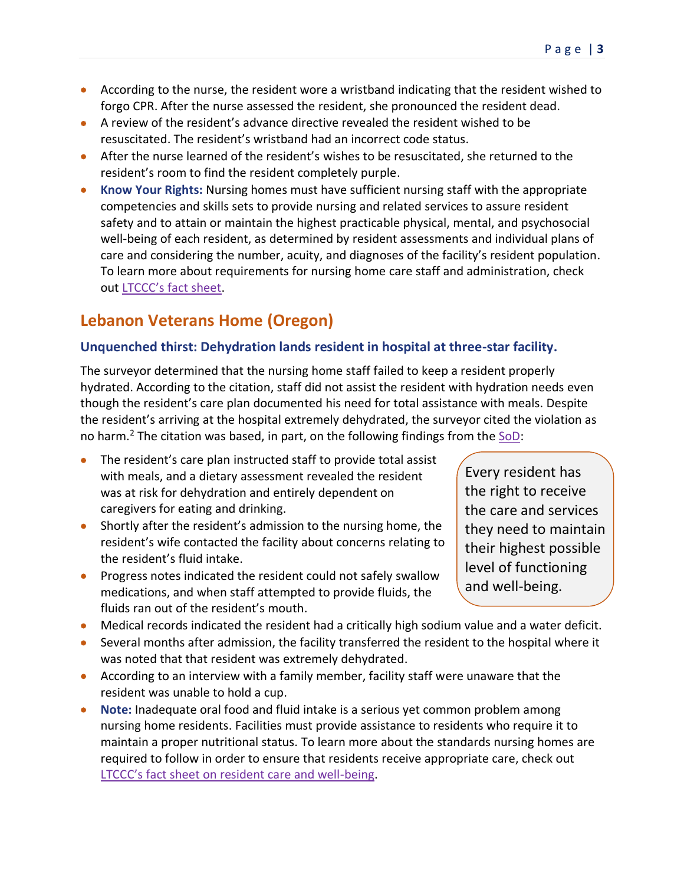- According to the nurse, the resident wore a wristband indicating that the resident wished to forgo CPR. After the nurse assessed the resident, she pronounced the resident dead.
- A review of the resident's advance directive revealed the resident wished to be resuscitated. The resident's wristband had an incorrect code status.
- After the nurse learned of the resident's wishes to be resuscitated, she returned to the resident's room to find the resident completely purple.
- **Know Your Rights:** Nursing homes must have sufficient nursing staff with the appropriate competencies and skills sets to provide nursing and related services to assure resident safety and to attain or maintain the highest practicable physical, mental, and psychosocial well-being of each resident, as determined by resident assessments and individual plans of care and considering the number, acuity, and diagnoses of the facility's resident population. To learn more about requirements for nursing home care staff and administration, check out [LTCCC's fact sheet](https://nursinghome411.org/fact-sheet-requirements-for-nursing-home-care-staff-administration/).

# <span id="page-2-0"></span>**Lebanon Veterans Home (Oregon)**

#### <span id="page-2-1"></span>**Unquenched thirst: Dehydration lands resident in hospital at three-star facility.**

The surveyor determined that the nursing home staff failed to keep a resident properly hydrated. According to the citation, staff did not assist the resident with hydration needs even though the resident's care plan documented his need for total assistance with meals. Despite the resident's arriving at the hospital extremely dehydrated, the surveyor cited the violation as no harm.<sup>2</sup> The citation was based, in part, on the following findings from the [SoD:](https://nursinghome411.org/wp-content/uploads/2022/04/Lebanon-Veterans-Home-OR.pdf)

- The resident's care plan instructed staff to provide total assist with meals, and a dietary assessment revealed the resident was at risk for dehydration and entirely dependent on caregivers for eating and drinking.
- Shortly after the resident's admission to the nursing home, the resident's wife contacted the facility about concerns relating to the resident's fluid intake.
- Progress notes indicated the resident could not safely swallow medications, and when staff attempted to provide fluids, the fluids ran out of the resident's mouth.
- Medical records indicated the resident had a critically high sodium value and a water deficit.
- Several months after admission, the facility transferred the resident to the hospital where it was noted that that resident was extremely dehydrated.
- According to an interview with a family member, facility staff were unaware that the resident was unable to hold a cup.
- **Note:** Inadequate oral food and fluid intake is a serious yet common problem among nursing home residents. Facilities must provide assistance to residents who require it to maintain a proper nutritional status. To learn more about the standards nursing homes are required to follow in order to ensure that residents receive appropriate care, check out [LTCCC's fact sheet on resident care and well](https://nursinghome411.org/fact-sheet-standards-of-care-for-resident-well-being/)-being.

Every resident has the right to receive the care and services they need to maintain their highest possible level of functioning and well-being.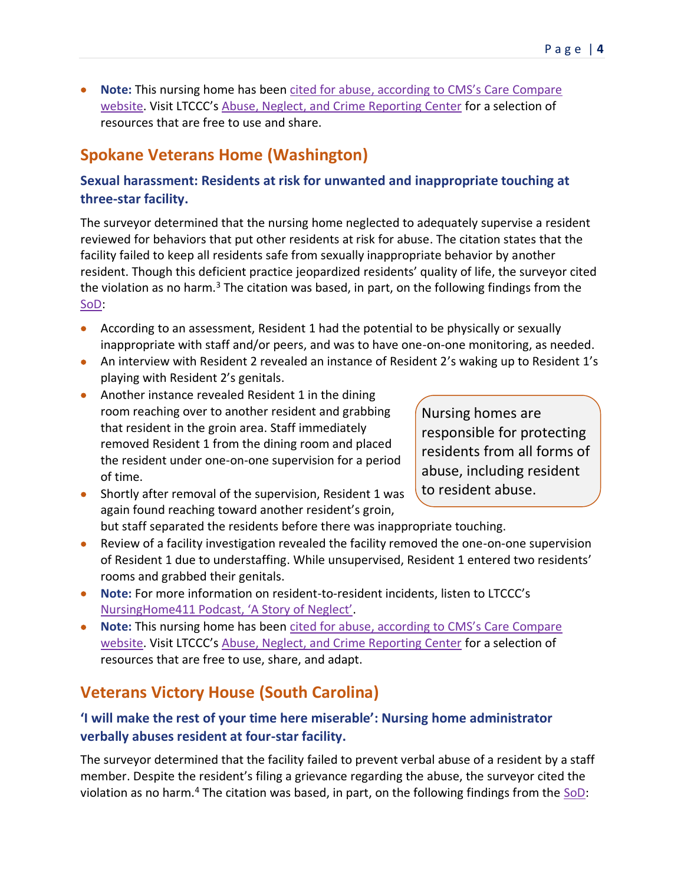• **Note:** This nursing home has been cited for abuse, according to [CMS's Care Compare](https://www.medicare.gov/care-compare/resources/nursing-home/preventing-abuse)  [website.](https://www.medicare.gov/care-compare/resources/nursing-home/preventing-abuse) Visit LTCCC's [Abuse, Neglect, and Crime Reporting Center](https://nursinghome411.org/learn/abuse-neglect-crime/) for a selection of resources that are free to use and share.

# <span id="page-3-0"></span>**Spokane Veterans Home (Washington)**

#### <span id="page-3-1"></span>**Sexual harassment: Residents at risk for unwanted and inappropriate touching at three-star facility.**

The surveyor determined that the nursing home neglected to adequately supervise a resident reviewed for behaviors that put other residents at risk for abuse. The citation states that the facility failed to keep all residents safe from sexually inappropriate behavior by another resident. Though this deficient practice jeopardized residents' quality of life, the surveyor cited the violation as no harm.<sup>3</sup> The citation was based, in part, on the following findings from the [SoD:](https://nursinghome411.org/wp-content/uploads/2022/04/Spokane-Veterans-Home-WA.pdf)

- According to an assessment, Resident 1 had the potential to be physically or sexually inappropriate with staff and/or peers, and was to have one-on-one monitoring, as needed.
- An interview with Resident 2 revealed an instance of Resident 2's waking up to Resident 1's playing with Resident 2's genitals.
- Another instance revealed Resident 1 in the dining room reaching over to another resident and grabbing that resident in the groin area. Staff immediately removed Resident 1 from the dining room and placed the resident under one-on-one supervision for a period of time.

Nursing homes are responsible for protecting residents from all forms of abuse, including resident to resident abuse.

- Shortly after removal of the supervision, Resident 1 was again found reaching toward another resident's groin, but staff separated the residents before there was inappropriate touching.
- Review of a facility investigation revealed the facility removed the one-on-one supervision of Resident 1 due to understaffing. While unsupervised, Resident 1 entered two residents' rooms and grabbed their genitals.
- **Note:** For more information on resident-to-resident incidents, listen to LTCCC's [NursingHome411 Podcast, 'A Story of Neglect'](https://nursinghome411.org/podcast/story-of-neglect/).
- **Note:** This nursing home has been [cited for abuse, according to](https://www.medicare.gov/care-compare/resources/nursing-home/preventing-abuse) CMS's Care Compare [website](https://www.medicare.gov/care-compare/resources/nursing-home/preventing-abuse). Visit LTCCC's [Abuse, Neglect, and Crime Reporting Center](https://nursinghome411.org/learn/abuse-neglect-crime/) for a selection of resources that are free to use, share, and adapt.

# <span id="page-3-2"></span>**Veterans Victory House (South Carolina)**

#### <span id="page-3-3"></span>**'I will make the rest of your time here miserable': Nursing home administrator verbally abuses resident at four-star facility.**

The surveyor determined that the facility failed to prevent verbal abuse of a resident by a staff member. Despite the resident's filing a grievance regarding the abuse, the surveyor cited the violation as no harm.<sup>4</sup> The citation was based, in part, on the following findings from the  $SOD$ :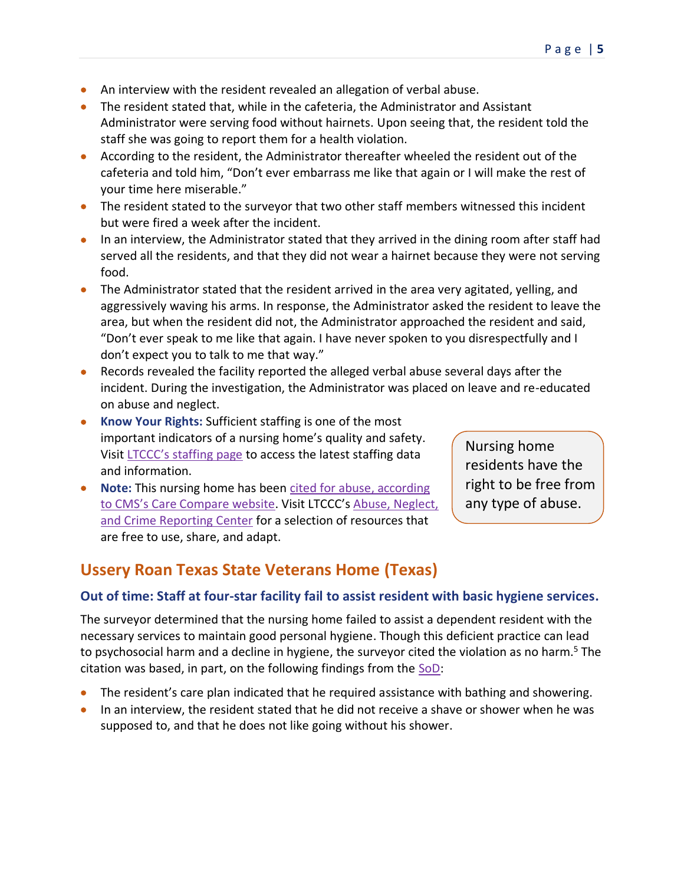- An interview with the resident revealed an allegation of verbal abuse.
- The resident stated that, while in the cafeteria, the Administrator and Assistant Administrator were serving food without hairnets. Upon seeing that, the resident told the staff she was going to report them for a health violation.
- According to the resident, the Administrator thereafter wheeled the resident out of the cafeteria and told him, "Don't ever embarrass me like that again or I will make the rest of your time here miserable."
- The resident stated to the surveyor that two other staff members witnessed this incident but were fired a week after the incident.
- In an interview, the Administrator stated that they arrived in the dining room after staff had served all the residents, and that they did not wear a hairnet because they were not serving food.
- The Administrator stated that the resident arrived in the area very agitated, yelling, and aggressively waving his arms. In response, the Administrator asked the resident to leave the area, but when the resident did not, the Administrator approached the resident and said, "Don't ever speak to me like that again. I have never spoken to you disrespectfully and I don't expect you to talk to me that way."
- Records revealed the facility reported the alleged verbal abuse several days after the incident. During the investigation, the Administrator was placed on leave and re-educated on abuse and neglect.
- **Know Your Rights:** Sufficient staffing is one of the most important indicators of a nursing home's quality and safety. Visit [LTCCC's staffing page](https://nursinghome411.org/data/staffing/) to access the latest staffing data and information.
- **Note:** This nursing home has been [cited for abuse, according](https://www.medicare.gov/care-compare/resources/nursing-home/preventing-abuse)  to [CMS's Care Compare website.](https://www.medicare.gov/care-compare/resources/nursing-home/preventing-abuse) Visit LTCCC's [Abuse, Neglect,](https://nursinghome411.org/learn/abuse-neglect-crime/)  [and Crime Reporting Center](https://nursinghome411.org/learn/abuse-neglect-crime/) for a selection of resources that are free to use, share, and adapt.

Nursing home residents have the right to be free from any type of abuse.

## <span id="page-4-0"></span>**Ussery Roan Texas State Veterans Home (Texas)**

#### <span id="page-4-1"></span>**Out of time: Staff at four-star facility fail to assist resident with basic hygiene services.**

The surveyor determined that the nursing home failed to assist a dependent resident with the necessary services to maintain good personal hygiene. Though this deficient practice can lead to psychosocial harm and a decline in hygiene, the surveyor cited the violation as no harm.<sup>5</sup> The citation was based, in part, on the following findings from the [SoD:](https://nursinghome411.org/wp-content/uploads/2022/04/Ussery-Roan-Texas-State-Veterans-Home-TX.pdf)

- The resident's care plan indicated that he required assistance with bathing and showering.
- In an interview, the resident stated that he did not receive a shave or shower when he was supposed to, and that he does not like going without his shower.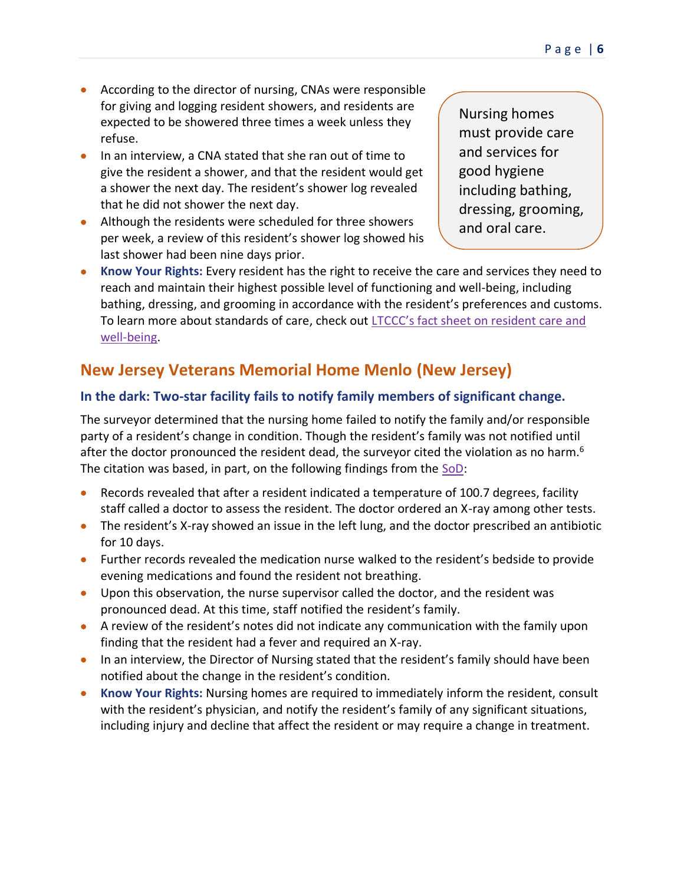- According to the director of nursing, CNAs were responsible for giving and logging resident showers, and residents are expected to be showered three times a week unless they refuse.
- In an interview, a CNA stated that she ran out of time to give the resident a shower, and that the resident would get a shower the next day. The resident's shower log revealed that he did not shower the next day.
- Although the residents were scheduled for three showers per week, a review of this resident's shower log showed his last shower had been nine days prior.

Nursing homes must provide care and services for good hygiene including bathing, dressing, grooming, and oral care.

• **Know Your Rights:** Every resident has the right to receive the care and services they need to reach and maintain their highest possible level of functioning and well-being, including bathing, dressing, and grooming in accordance with the resident's preferences and customs. To learn more about standards of care, check out [LTCCC's fact sheet on resident care and](https://nursinghome411.org/fact-sheet-standards-of-care-for-resident-well-being/)  [well-being.](https://nursinghome411.org/fact-sheet-standards-of-care-for-resident-well-being/)

# <span id="page-5-0"></span>**New Jersey Veterans Memorial Home Menlo (New Jersey)**

#### <span id="page-5-1"></span>**In the dark: Two-star facility fails to notify family members of significant change.**

The surveyor determined that the nursing home failed to notify the family and/or responsible party of a resident's change in condition. Though the resident's family was not notified until after the doctor pronounced the resident dead, the surveyor cited the violation as no harm.<sup>6</sup> The citation was based, in part, on the following findings from the [SoD:](https://nursinghome411.org/wp-content/uploads/2022/04/New-Jersey-Veterans-Memorial-Home-Menlo-NJ.pdf)

- Records revealed that after a resident indicated a temperature of 100.7 degrees, facility staff called a doctor to assess the resident. The doctor ordered an X-ray among other tests.
- The resident's X-ray showed an issue in the left lung, and the doctor prescribed an antibiotic for 10 days.
- Further records revealed the medication nurse walked to the resident's bedside to provide evening medications and found the resident not breathing.
- Upon this observation, the nurse supervisor called the doctor, and the resident was pronounced dead. At this time, staff notified the resident's family.
- A review of the resident's notes did not indicate any communication with the family upon finding that the resident had a fever and required an X-ray.
- In an interview, the Director of Nursing stated that the resident's family should have been notified about the change in the resident's condition.
- **Know Your Rights:** Nursing homes are required to immediately inform the resident, consult with the resident's physician, and notify the resident's family of any significant situations, including injury and decline that affect the resident or may require a change in treatment.